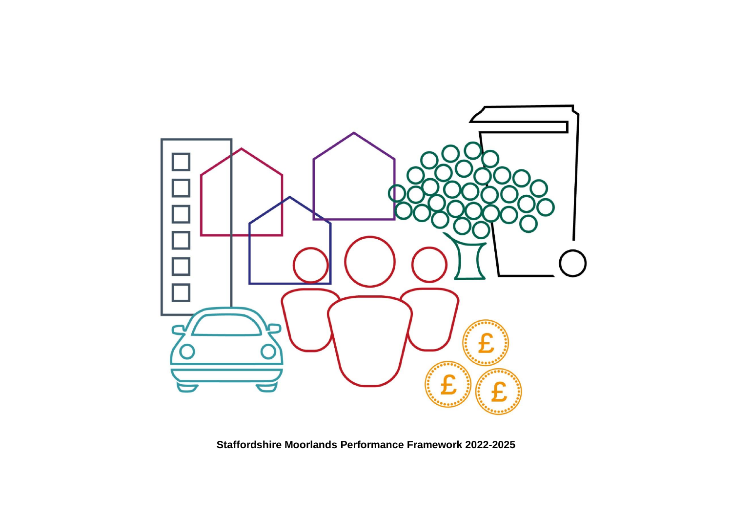

**Staffordshire Moorlands Performance Framework 2022-2025**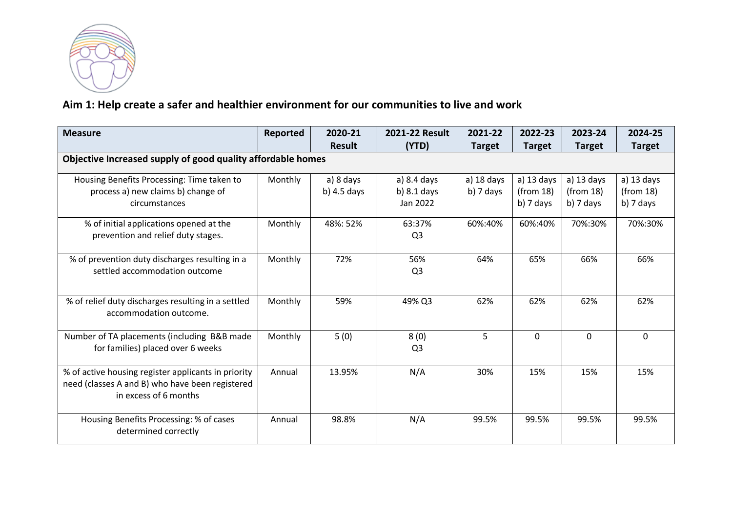

## **Aim 1: Help create a safer and healthier environment for our communities to live and work**

| <b>Measure</b>                                                                                                                  | Reported | 2020-21                    | 2021-22 Result                           | 2021-22                   | 2022-23                                | 2023-24                                | 2024-25                                  |
|---------------------------------------------------------------------------------------------------------------------------------|----------|----------------------------|------------------------------------------|---------------------------|----------------------------------------|----------------------------------------|------------------------------------------|
|                                                                                                                                 |          | <b>Result</b>              | (YTD)                                    | <b>Target</b>             | <b>Target</b>                          | <b>Target</b>                          | <b>Target</b>                            |
| Objective Increased supply of good quality affordable homes                                                                     |          |                            |                                          |                           |                                        |                                        |                                          |
| Housing Benefits Processing: Time taken to<br>process a) new claims b) change of<br>circumstances                               | Monthly  | a) 8 days<br>b) $4.5$ days | a) 8.4 days<br>b) $8.1$ days<br>Jan 2022 | a) 18 days<br>$b)$ 7 days | a) 13 days<br>(from 18)<br>$b)$ 7 days | a) 13 days<br>(from 18)<br>$b)$ 7 days | $a)$ 13 days<br>(from 18)<br>$b)$ 7 days |
| % of initial applications opened at the<br>prevention and relief duty stages.                                                   | Monthly  | 48%: 52%                   | 63:37%<br>Q <sub>3</sub>                 | 60%:40%                   | 60%:40%                                | 70%:30%                                | 70%:30%                                  |
| % of prevention duty discharges resulting in a<br>settled accommodation outcome                                                 | Monthly  | 72%                        | 56%<br>Q <sub>3</sub>                    | 64%                       | 65%                                    | 66%                                    | 66%                                      |
| % of relief duty discharges resulting in a settled<br>accommodation outcome.                                                    | Monthly  | 59%                        | 49% Q3                                   | 62%                       | 62%                                    | 62%                                    | 62%                                      |
| Number of TA placements (including B&B made<br>for families) placed over 6 weeks                                                | Monthly  | 5(0)                       | 8(0)<br>Q <sub>3</sub>                   | 5                         | 0                                      | 0                                      | 0                                        |
| % of active housing register applicants in priority<br>need (classes A and B) who have been registered<br>in excess of 6 months | Annual   | 13.95%                     | N/A                                      | 30%                       | 15%                                    | 15%                                    | 15%                                      |
| Housing Benefits Processing: % of cases<br>determined correctly                                                                 | Annual   | 98.8%                      | N/A                                      | 99.5%                     | 99.5%                                  | 99.5%                                  | 99.5%                                    |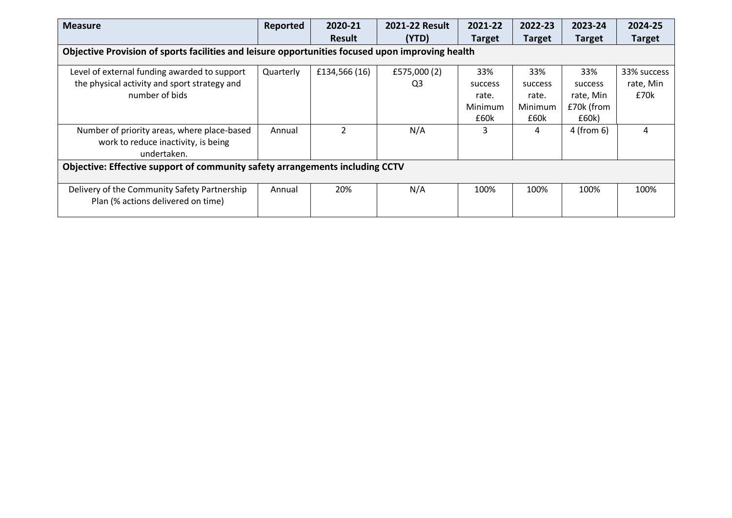| <b>Measure</b>                                                                     | Reported                                                                                         | 2020-21        | 2021-22 Result | 2021-22       | 2022-23       | 2023-24       | 2024-25       |  |
|------------------------------------------------------------------------------------|--------------------------------------------------------------------------------------------------|----------------|----------------|---------------|---------------|---------------|---------------|--|
|                                                                                    |                                                                                                  | <b>Result</b>  | (YTD)          | <b>Target</b> | <b>Target</b> | <b>Target</b> | <b>Target</b> |  |
|                                                                                    | Objective Provision of sports facilities and leisure opportunities focused upon improving health |                |                |               |               |               |               |  |
| Level of external funding awarded to support                                       | Quarterly                                                                                        | £134,566 (16)  | £575,000 (2)   | 33%           | 33%           | 33%           | 33% success   |  |
| the physical activity and sport strategy and                                       |                                                                                                  |                | Q3             | success       | success       | success       | rate, Min     |  |
| number of bids                                                                     |                                                                                                  |                |                | rate.         | rate.         | rate, Min     | £70k          |  |
|                                                                                    |                                                                                                  |                |                | Minimum       | Minimum       | £70k (from    |               |  |
|                                                                                    |                                                                                                  |                |                | £60k          | £60k          | £60k)         |               |  |
| Number of priority areas, where place-based                                        | Annual                                                                                           | $\overline{2}$ | N/A            | 3             | 4             | 4 (from 6)    | 4             |  |
| work to reduce inactivity, is being                                                |                                                                                                  |                |                |               |               |               |               |  |
| undertaken.                                                                        |                                                                                                  |                |                |               |               |               |               |  |
| Objective: Effective support of community safety arrangements including CCTV       |                                                                                                  |                |                |               |               |               |               |  |
| Delivery of the Community Safety Partnership<br>Plan (% actions delivered on time) | Annual                                                                                           | 20%            | N/A            | 100%          | 100%          | 100%          | 100%          |  |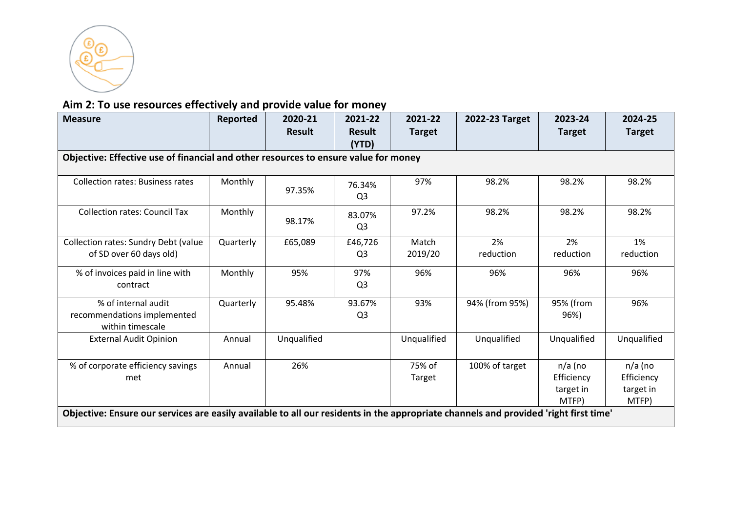

## **Aim 2: To use resources effectively and provide value for money**

| <b>Measure</b>                                                                                                                                                                   | Reported  | 2020-21       | 2021-22                   | 2021-22          | 2022-23 Target  | 2023-24                                       | 2024-25                                       |
|----------------------------------------------------------------------------------------------------------------------------------------------------------------------------------|-----------|---------------|---------------------------|------------------|-----------------|-----------------------------------------------|-----------------------------------------------|
|                                                                                                                                                                                  |           | <b>Result</b> | Result<br>(YTD)           | <b>Target</b>    |                 | <b>Target</b>                                 | <b>Target</b>                                 |
| Objective: Effective use of financial and other resources to ensure value for money                                                                                              |           |               |                           |                  |                 |                                               |                                               |
| <b>Collection rates: Business rates</b>                                                                                                                                          | Monthly   | 97.35%        | 76.34%<br>Q <sub>3</sub>  | 97%              | 98.2%           | 98.2%                                         | 98.2%                                         |
| <b>Collection rates: Council Tax</b>                                                                                                                                             | Monthly   | 98.17%        | 83.07%<br>Q <sub>3</sub>  | 97.2%            | 98.2%           | 98.2%                                         | 98.2%                                         |
| Collection rates: Sundry Debt (value<br>of SD over 60 days old)                                                                                                                  | Quarterly | £65,089       | £46,726<br>Q <sub>3</sub> | Match<br>2019/20 | 2%<br>reduction | 2%<br>reduction                               | 1%<br>reduction                               |
| % of invoices paid in line with<br>contract                                                                                                                                      | Monthly   | 95%           | 97%<br>Q <sub>3</sub>     | 96%              | 96%             | 96%                                           | 96%                                           |
| % of internal audit<br>recommendations implemented<br>within timescale                                                                                                           | Quarterly | 95.48%        | 93.67%<br>Q3              | 93%              | 94% (from 95%)  | 95% (from<br>96%)                             | 96%                                           |
| <b>External Audit Opinion</b>                                                                                                                                                    | Annual    | Unqualified   |                           | Unqualified      | Unqualified     | Unqualified                                   | Unqualified                                   |
| % of corporate efficiency savings<br>met<br>Objective: Ensure our services are easily available to all our residents in the appropriate channels and provided 'right first time' | Annual    | 26%           |                           | 75% of<br>Target | 100% of target  | $n/a$ (no<br>Efficiency<br>target in<br>MTFP) | $n/a$ (no<br>Efficiency<br>target in<br>MTFP) |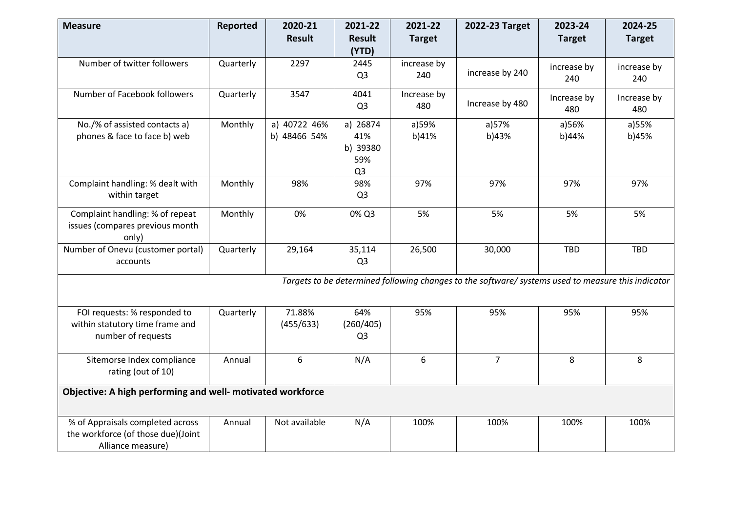| <b>Measure</b>                                             | Reported  | 2020-21       | 2021-22        | 2021-22       | 2022-23 Target                                                                                     | 2023-24       | 2024-25       |
|------------------------------------------------------------|-----------|---------------|----------------|---------------|----------------------------------------------------------------------------------------------------|---------------|---------------|
|                                                            |           | <b>Result</b> | <b>Result</b>  | <b>Target</b> |                                                                                                    | <b>Target</b> | <b>Target</b> |
|                                                            |           |               | (YTD)          |               |                                                                                                    |               |               |
| Number of twitter followers                                | Quarterly | 2297          | 2445           | increase by   |                                                                                                    | increase by   | increase by   |
|                                                            |           |               | Q <sub>3</sub> | 240           | increase by 240                                                                                    | 240           | 240           |
| Number of Facebook followers                               | Quarterly | 3547          | 4041           | Increase by   |                                                                                                    | Increase by   | Increase by   |
|                                                            |           |               | Q <sub>3</sub> | 480           | Increase by 480                                                                                    | 480           | 480           |
| No./% of assisted contacts a)                              | Monthly   | a) 40722 46%  | a) 26874       | a)59%         | a)57%                                                                                              | a)56%         | a)55%         |
| phones & face to face b) web                               |           | b) 48466 54%  | 41%            | b)41%         | b)43%                                                                                              | b)44%         | b)45%         |
|                                                            |           |               | b) 39380       |               |                                                                                                    |               |               |
|                                                            |           |               | 59%            |               |                                                                                                    |               |               |
|                                                            |           |               | Q <sub>3</sub> |               |                                                                                                    |               |               |
| Complaint handling: % dealt with                           | Monthly   | 98%           | 98%            | 97%           | 97%                                                                                                | 97%           | 97%           |
| within target                                              |           |               | Q <sub>3</sub> |               |                                                                                                    |               |               |
| Complaint handling: % of repeat                            | Monthly   | 0%            | 0% Q3          | 5%            | 5%                                                                                                 | 5%            | 5%            |
| issues (compares previous month                            |           |               |                |               |                                                                                                    |               |               |
| only)                                                      |           |               |                |               |                                                                                                    |               |               |
| Number of Onevu (customer portal)                          | Quarterly | 29,164        | 35,114         | 26,500        | 30,000                                                                                             | <b>TBD</b>    | <b>TBD</b>    |
| accounts                                                   |           |               | Q <sub>3</sub> |               |                                                                                                    |               |               |
|                                                            |           |               |                |               | Targets to be determined following changes to the software/ systems used to measure this indicator |               |               |
|                                                            |           |               |                |               |                                                                                                    |               |               |
| FOI requests: % responded to                               | Quarterly | 71.88%        | 64%            | 95%           | 95%                                                                                                | 95%           | 95%           |
| within statutory time frame and                            |           | (455/633)     | (260/405)      |               |                                                                                                    |               |               |
| number of requests                                         |           |               | Q <sub>3</sub> |               |                                                                                                    |               |               |
|                                                            |           |               |                |               |                                                                                                    |               |               |
| Sitemorse Index compliance                                 | Annual    | 6             | N/A            | 6             | $\overline{7}$                                                                                     | 8             | 8             |
| rating (out of 10)                                         |           |               |                |               |                                                                                                    |               |               |
| Objective: A high performing and well- motivated workforce |           |               |                |               |                                                                                                    |               |               |
|                                                            |           |               |                |               |                                                                                                    |               |               |
| % of Appraisals completed across                           | Annual    | Not available | N/A            | 100%          | 100%                                                                                               | 100%          | 100%          |
| the workforce (of those due)(Joint                         |           |               |                |               |                                                                                                    |               |               |
| Alliance measure)                                          |           |               |                |               |                                                                                                    |               |               |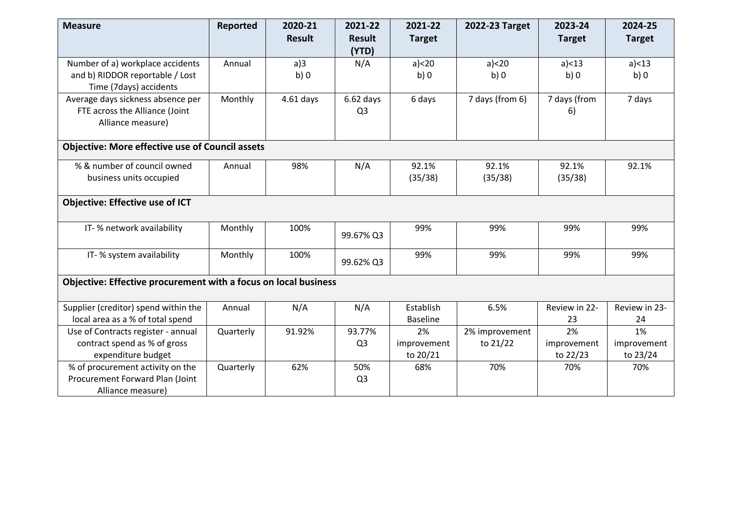| <b>Measure</b>                                                                                | <b>Reported</b> | 2020-21<br><b>Result</b> | 2021-22<br><b>Result</b>      | 2021-22<br><b>Target</b>      | 2022-23 Target             | 2023-24<br><b>Target</b>      | 2024-25<br><b>Target</b>      |
|-----------------------------------------------------------------------------------------------|-----------------|--------------------------|-------------------------------|-------------------------------|----------------------------|-------------------------------|-------------------------------|
|                                                                                               |                 |                          | (YTD)                         |                               |                            |                               |                               |
| Number of a) workplace accidents<br>and b) RIDDOR reportable / Lost<br>Time (7days) accidents | Annual          | a)3<br>b)0               | N/A                           | a) < 20<br>b)0                | $a$ $< 20$<br>b)0          | a) < 13<br>b)0                | a) < 13<br>b)0                |
| Average days sickness absence per<br>FTE across the Alliance (Joint<br>Alliance measure)      | Monthly         | $4.61$ days              | $6.62$ days<br>Q <sub>3</sub> | 6 days                        | 7 days (from 6)            | 7 days (from<br>6)            | 7 days                        |
| <b>Objective: More effective use of Council assets</b>                                        |                 |                          |                               |                               |                            |                               |                               |
| % & number of council owned<br>business units occupied                                        | Annual          | 98%                      | N/A                           | 92.1%<br>(35/38)              | 92.1%<br>(35/38)           | 92.1%<br>(35/38)              | 92.1%                         |
| <b>Objective: Effective use of ICT</b>                                                        |                 |                          |                               |                               |                            |                               |                               |
| IT-% network availability                                                                     | Monthly         | 100%                     | 99.67% Q3                     | 99%                           | 99%                        | 99%                           | 99%                           |
| IT-% system availability                                                                      | Monthly         | 100%                     | 99.62% Q3                     | 99%                           | 99%                        | 99%                           | 99%                           |
| Objective: Effective procurement with a focus on local business                               |                 |                          |                               |                               |                            |                               |                               |
| Supplier (creditor) spend within the<br>local area as a % of total spend                      | Annual          | N/A                      | N/A                           | Establish<br><b>Baseline</b>  | 6.5%                       | Review in 22-<br>23           | Review in 23-<br>24           |
| Use of Contracts register - annual<br>contract spend as % of gross<br>expenditure budget      | Quarterly       | 91.92%                   | 93.77%<br>Q <sub>3</sub>      | 2%<br>improvement<br>to 20/21 | 2% improvement<br>to 21/22 | 2%<br>improvement<br>to 22/23 | 1%<br>improvement<br>to 23/24 |
| % of procurement activity on the<br>Procurement Forward Plan (Joint<br>Alliance measure)      | Quarterly       | 62%                      | 50%<br>Q <sub>3</sub>         | 68%                           | 70%                        | 70%                           | 70%                           |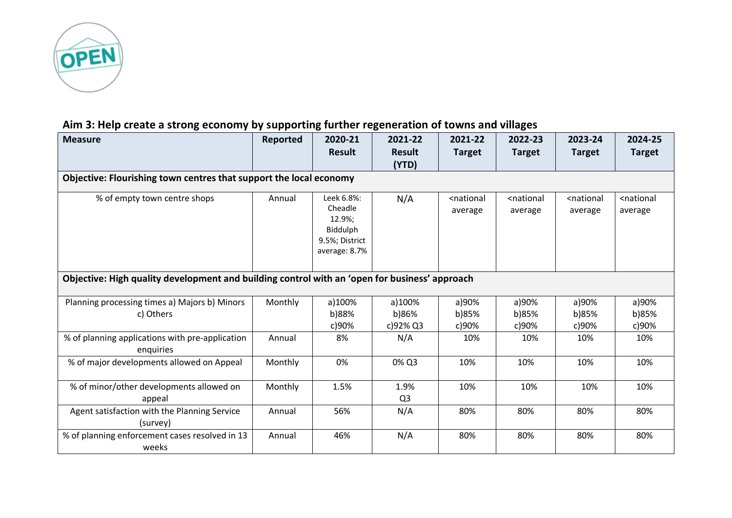

## **Aim 3: Help create a strong economy by supporting further regeneration of towns and villages**

| <b>Measure</b>                                                                                | Reported | 2020-21<br><b>Result</b>                                                       | 2021-22<br><b>Result</b>    | 2021-22<br><b>Target</b>           | 2022-23<br><b>Target</b>           | 2023-24<br><b>Target</b>           | 2024-25<br><b>Target</b>           |
|-----------------------------------------------------------------------------------------------|----------|--------------------------------------------------------------------------------|-----------------------------|------------------------------------|------------------------------------|------------------------------------|------------------------------------|
|                                                                                               |          |                                                                                | (YTD)                       |                                    |                                    |                                    |                                    |
| Objective: Flourishing town centres that support the local economy                            |          |                                                                                |                             |                                    |                                    |                                    |                                    |
| % of empty town centre shops                                                                  | Annual   | Leek 6.8%:<br>Cheadle<br>12.9%;<br>Biddulph<br>9.5%; District<br>average: 8.7% | N/A                         | <national<br>average</national<br> | <national<br>average</national<br> | <national<br>average</national<br> | <national<br>average</national<br> |
| Objective: High quality development and building control with an 'open for business' approach |          |                                                                                |                             |                                    |                                    |                                    |                                    |
| Planning processing times a) Majors b) Minors<br>c) Others                                    | Monthly  | a)100%<br>b)88%<br>c)90%                                                       | a)100%<br>b)86%<br>c)92% Q3 | a)90%<br>b)85%<br>c)90%            | a)90%<br>b)85%<br>c)90%            | a)90%<br>b)85%<br>c)90%            | a)90%<br>b)85%<br>c)90%            |
| % of planning applications with pre-application<br>enquiries                                  | Annual   | 8%                                                                             | N/A                         | 10%                                | 10%                                | 10%                                | 10%                                |
| % of major developments allowed on Appeal                                                     | Monthly  | 0%                                                                             | 0% Q3                       | 10%                                | 10%                                | 10%                                | 10%                                |
| % of minor/other developments allowed on<br>appeal                                            | Monthly  | 1.5%                                                                           | 1.9%<br>Q <sub>3</sub>      | 10%                                | 10%                                | 10%                                | 10%                                |
| Agent satisfaction with the Planning Service<br>(survey)                                      | Annual   | 56%                                                                            | N/A                         | 80%                                | 80%                                | 80%                                | 80%                                |
| % of planning enforcement cases resolved in 13<br>weeks                                       | Annual   | 46%                                                                            | N/A                         | 80%                                | 80%                                | 80%                                | 80%                                |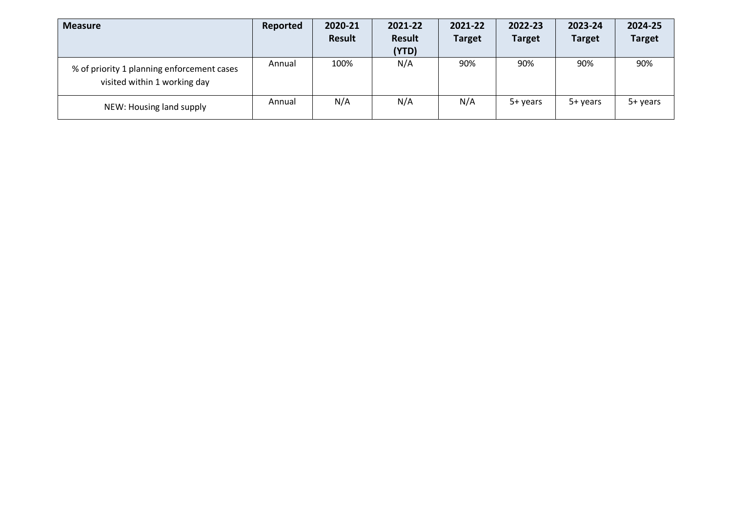| <b>Measure</b>                                                             | Reported | 2020-21       | 2021-22                | 2021-22       | 2022-23       | 2023-24       | 2024-25       |
|----------------------------------------------------------------------------|----------|---------------|------------------------|---------------|---------------|---------------|---------------|
|                                                                            |          | <b>Result</b> | <b>Result</b><br>(YTD) | <b>Target</b> | <b>Target</b> | <b>Target</b> | <b>Target</b> |
| % of priority 1 planning enforcement cases<br>visited within 1 working day | Annual   | 100%          | N/A                    | 90%           | 90%           | 90%           | 90%           |
| NEW: Housing land supply                                                   | Annual   | N/A           | N/A                    | N/A           | 5+ years      | 5+ years      | 5+ years      |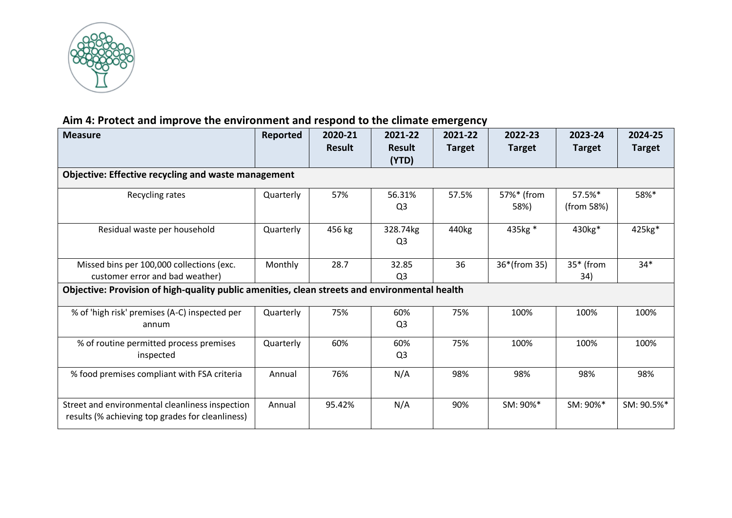

# **Aim 4: Protect and improve the environment and respond to the climate emergency**

| <b>Measure</b>                                                                                      | Reported  | 2020-21       | 2021-22        | 2021-22           | 2022-23       | 2023-24             | 2024-25       |
|-----------------------------------------------------------------------------------------------------|-----------|---------------|----------------|-------------------|---------------|---------------------|---------------|
|                                                                                                     |           | <b>Result</b> | <b>Result</b>  | <b>Target</b>     | <b>Target</b> | <b>Target</b>       | <b>Target</b> |
|                                                                                                     |           |               | (YTD)          |                   |               |                     |               |
| <b>Objective: Effective recycling and waste management</b>                                          |           |               |                |                   |               |                     |               |
| Recycling rates                                                                                     | Quarterly | 57%           | 56.31%         | 57.5%             | 57%* (from    | 57.5%*              | 58%*          |
|                                                                                                     |           |               | Q <sub>3</sub> |                   | 58%)          | (from 58%)          |               |
| Residual waste per household                                                                        | Quarterly | 456 kg        | 328.74kg       | 440 <sub>kg</sub> | 435kg *       | 430 <sub>kg</sub> * | 425kg*        |
|                                                                                                     |           |               | Q <sub>3</sub> |                   |               |                     |               |
| Missed bins per 100,000 collections (exc.                                                           | Monthly   | 28.7          | 32.85          | 36                | 36*(from 35)  | 35* (from           | $34*$         |
| customer error and bad weather)                                                                     |           |               | Q3             |                   |               | 34)                 |               |
| Objective: Provision of high-quality public amenities, clean streets and environmental health       |           |               |                |                   |               |                     |               |
| % of 'high risk' premises (A-C) inspected per                                                       | Quarterly | 75%           | 60%            | 75%               | 100%          | 100%                | 100%          |
| annum                                                                                               |           |               | Q <sub>3</sub> |                   |               |                     |               |
| % of routine permitted process premises                                                             | Quarterly | 60%           | 60%            | 75%               | 100%          | 100%                | 100%          |
| inspected                                                                                           |           |               | Q <sub>3</sub> |                   |               |                     |               |
| % food premises compliant with FSA criteria                                                         | Annual    | 76%           | N/A            | 98%               | 98%           | 98%                 | 98%           |
|                                                                                                     |           |               |                |                   |               |                     |               |
| Street and environmental cleanliness inspection<br>results (% achieving top grades for cleanliness) | Annual    | 95.42%        | N/A            | 90%               | SM: 90%*      | SM: 90%*            | SM: 90.5%*    |
|                                                                                                     |           |               |                |                   |               |                     |               |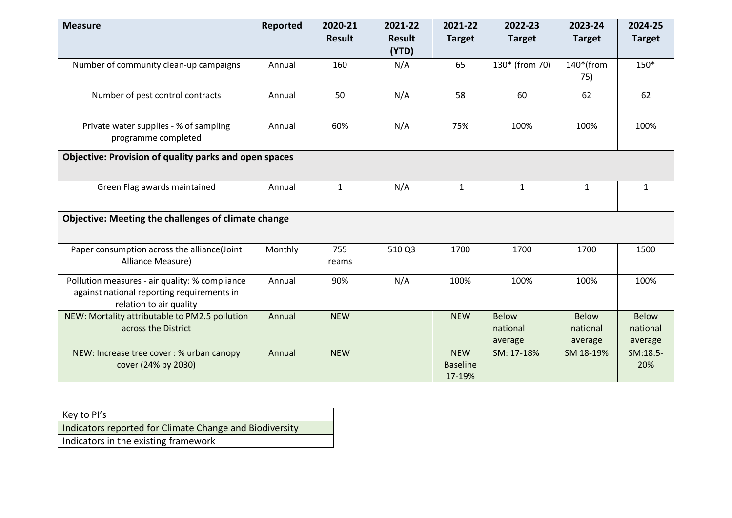| <b>Measure</b>                                                                                                          | Reported | 2020-21       | 2021-22                | 2021-22                                 | 2022-23                             | 2023-24                             | 2024-25                             |
|-------------------------------------------------------------------------------------------------------------------------|----------|---------------|------------------------|-----------------------------------------|-------------------------------------|-------------------------------------|-------------------------------------|
|                                                                                                                         |          | <b>Result</b> | <b>Result</b><br>(YTD) | <b>Target</b>                           | <b>Target</b>                       | <b>Target</b>                       | <b>Target</b>                       |
| Number of community clean-up campaigns                                                                                  | Annual   | 160           | N/A                    | 65                                      | 130* (from 70)                      | $140*(from$<br>75)                  | 150*                                |
| Number of pest control contracts                                                                                        | Annual   | 50            | N/A                    | 58                                      | 60                                  | 62                                  | 62                                  |
| Private water supplies - % of sampling<br>programme completed                                                           | Annual   | 60%           | N/A                    | 75%                                     | 100%                                | 100%                                | 100%                                |
| Objective: Provision of quality parks and open spaces                                                                   |          |               |                        |                                         |                                     |                                     |                                     |
| Green Flag awards maintained                                                                                            | Annual   | $\mathbf{1}$  | N/A                    | $\mathbf{1}$                            | $\mathbf{1}$                        | $\mathbf{1}$                        | $\mathbf{1}$                        |
| <b>Objective: Meeting the challenges of climate change</b>                                                              |          |               |                        |                                         |                                     |                                     |                                     |
| Paper consumption across the alliance(Joint<br>Alliance Measure)                                                        | Monthly  | 755<br>reams  | 510 Q3                 | 1700                                    | 1700                                | 1700                                | 1500                                |
| Pollution measures - air quality: % compliance<br>against national reporting requirements in<br>relation to air quality | Annual   | 90%           | N/A                    | 100%                                    | 100%                                | 100%                                | 100%                                |
| NEW: Mortality attributable to PM2.5 pollution<br>across the District                                                   | Annual   | <b>NEW</b>    |                        | <b>NEW</b>                              | <b>Below</b><br>national<br>average | <b>Below</b><br>national<br>average | <b>Below</b><br>national<br>average |
| NEW: Increase tree cover: % urban canopy<br>cover (24% by 2030)                                                         | Annual   | <b>NEW</b>    |                        | <b>NEW</b><br><b>Baseline</b><br>17-19% | SM: 17-18%                          | SM 18-19%                           | SM:18.5-<br>20%                     |

| Key to PI's                                             |
|---------------------------------------------------------|
| Indicators reported for Climate Change and Biodiversity |
| Indicators in the existing framework                    |